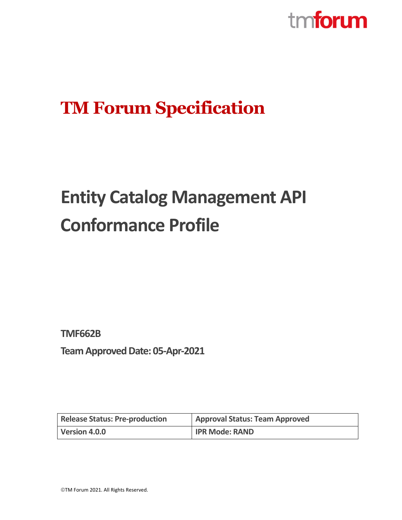

# **TM Forum Specification**

# **Entity Catalog Management API Conformance Profile**

**TMF662B**

**Team Approved Date: 05-Apr-2021** 

| <b>Release Status: Pre-production</b> | <b>Approval Status: Team Approved</b> |
|---------------------------------------|---------------------------------------|
| Version 4.0.0                         | <b>IPR Mode: RAND</b>                 |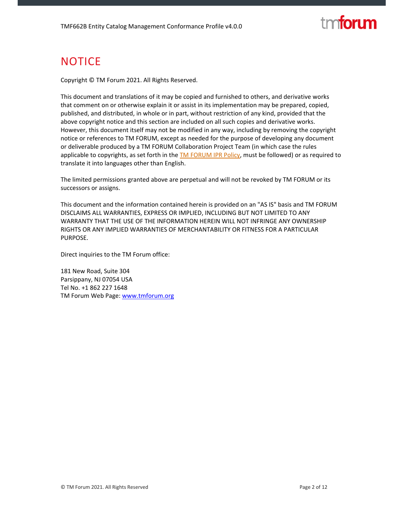# tm**forum**

### **NOTICE**

Copyright © TM Forum 2021. All Rights Reserved.

This document and translations of it may be copied and furnished to others, and derivative works that comment on or otherwise explain it or assist in its implementation may be prepared, copied, published, and distributed, in whole or in part, without restriction of any kind, provided that the above copyright notice and this section are included on all such copies and derivative works. However, this document itself may not be modified in any way, including by removing the copyright notice or references to TM FORUM, except as needed for the purpose of developing any document or deliverable produced by a TM FORUM Collaboration Project Team (in which case the rules applicable to copyrights, as set forth in the **TM FORUM IPR Policy**, must be followed) or as required to translate it into languages other than English.

The limited permissions granted above are perpetual and will not be revoked by TM FORUM or its successors or assigns.

This document and the information contained herein is provided on an "AS IS" basis and TM FORUM DISCLAIMS ALL WARRANTIES, EXPRESS OR IMPLIED, INCLUDING BUT NOT LIMITED TO ANY WARRANTY THAT THE USE OF THE INFORMATION HEREIN WILL NOT INFRINGE ANY OWNERSHIP RIGHTS OR ANY IMPLIED WARRANTIES OF MERCHANTABILITY OR FITNESS FOR A PARTICULAR PURPOSE.

Direct inquiries to the TM Forum office:

181 New Road, Suite 304 Parsippany, NJ 07054 USA Tel No. +1 862 227 1648 TM Forum Web Page: www.tmforum.org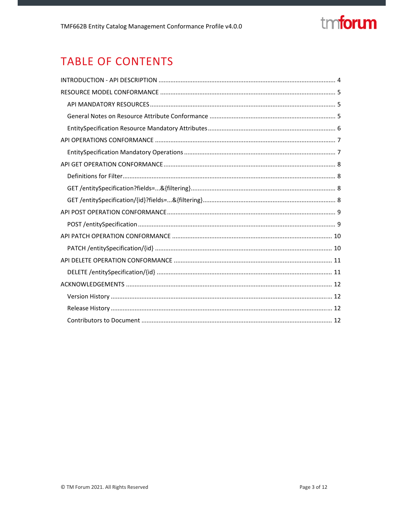# tmforum

### **TABLE OF CONTENTS**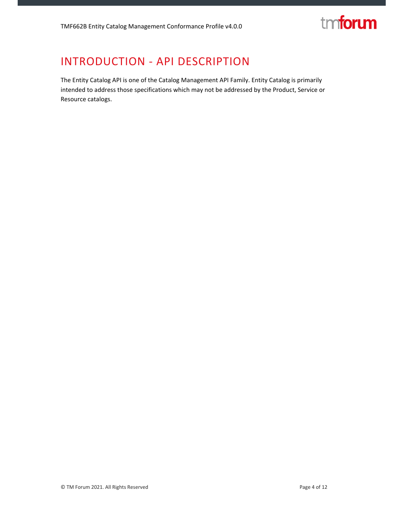

### INTRODUCTION ‐ API DESCRIPTION

The Entity Catalog API is one of the Catalog Management API Family. Entity Catalog is primarily intended to address those specifications which may not be addressed by the Product, Service or Resource catalogs.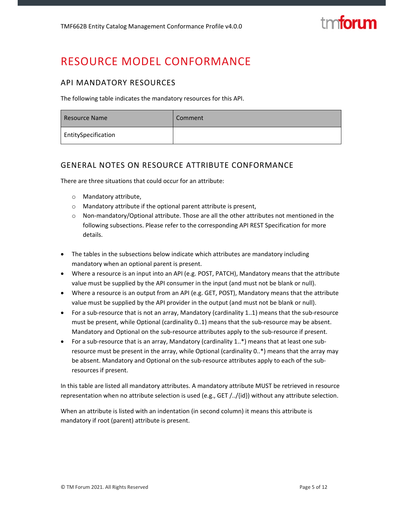### RESOURCE MODEL CONFORMANCE

#### API MANDATORY RESOURCES

The following table indicates the mandatory resources for this API.

| Resource Name       | Comment |
|---------------------|---------|
| EntitySpecification |         |

#### GENERAL NOTES ON RESOURCE ATTRIBUTE CONFORMANCE

There are three situations that could occur for an attribute:

- o Mandatory attribute,
- o Mandatory attribute if the optional parent attribute is present,
- o Non‐mandatory/Optional attribute. Those are all the other attributes not mentioned in the following subsections. Please refer to the corresponding API REST Specification for more details.
- The tables in the subsections below indicate which attributes are mandatory including mandatory when an optional parent is present.
- Where a resource is an input into an API (e.g. POST, PATCH), Mandatory means that the attribute value must be supplied by the API consumer in the input (and must not be blank or null).
- Where a resource is an output from an API (e.g. GET, POST), Mandatory means that the attribute value must be supplied by the API provider in the output (and must not be blank or null).
- For a sub‐resource that is not an array, Mandatory (cardinality 1..1) means that the sub‐resource must be present, while Optional (cardinality 0..1) means that the sub-resource may be absent. Mandatory and Optional on the sub‐resource attributes apply to the sub‐resource if present.
- For a sub-resource that is an array, Mandatory (cardinality 1..\*) means that at least one subresource must be present in the array, while Optional (cardinality 0..\*) means that the array may be absent. Mandatory and Optional on the sub-resource attributes apply to each of the subresources if present.

In this table are listed all mandatory attributes. A mandatory attribute MUST be retrieved in resource representation when no attribute selection is used (e.g., GET /../{id}) without any attribute selection.

When an attribute is listed with an indentation (in second column) it means this attribute is mandatory if root (parent) attribute is present.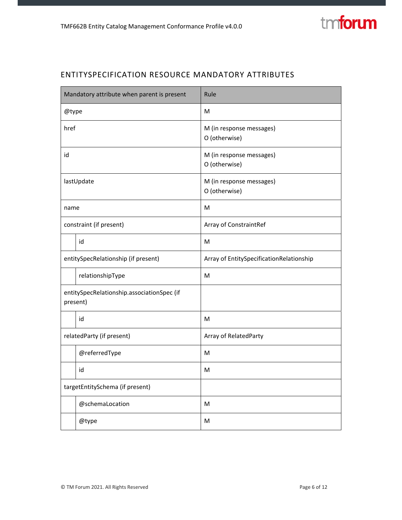

#### ENTITYSPECIFICATION RESOURCE MANDATORY ATTRIBUTES

| Mandatory attribute when parent is present |                                                        | Rule                                      |  |
|--------------------------------------------|--------------------------------------------------------|-------------------------------------------|--|
| @type                                      |                                                        | M                                         |  |
| href                                       |                                                        | M (in response messages)<br>O (otherwise) |  |
| id                                         |                                                        | M (in response messages)<br>O (otherwise) |  |
| lastUpdate                                 |                                                        | M (in response messages)<br>O (otherwise) |  |
| name                                       |                                                        | M                                         |  |
| constraint (if present)                    |                                                        | Array of ConstraintRef                    |  |
|                                            | id                                                     | M                                         |  |
| entitySpecRelationship (if present)        |                                                        | Array of EntitySpecificationRelationship  |  |
| relationshipType                           |                                                        | M                                         |  |
|                                            | entitySpecRelationship.associationSpec (if<br>present) |                                           |  |
| id                                         |                                                        | M                                         |  |
| relatedParty (if present)                  |                                                        | Array of RelatedParty                     |  |
|                                            | @referredType                                          | м                                         |  |
|                                            | id                                                     | M                                         |  |
| targetEntitySchema (if present)            |                                                        |                                           |  |
| @schemaLocation                            |                                                        | м                                         |  |
|                                            | @type                                                  | M                                         |  |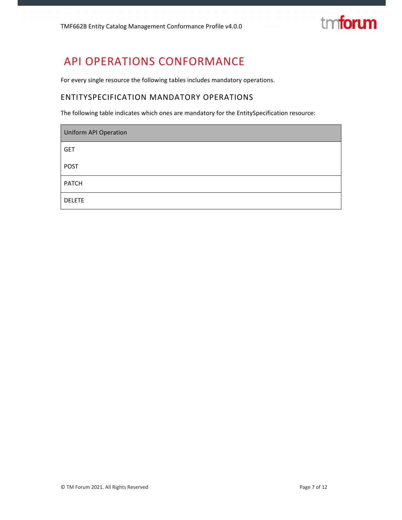# tmforum

### API OPERATIONS CONFORMANCE

For every single resource the following tables includes mandatory operations.

#### ENTITYSPECIFICATION MANDATORY OPERATIONS

The following table indicates which ones are mandatory for the EntitySpecification resource:

| <b>Uniform API Operation</b> |  |
|------------------------------|--|
| <b>GET</b>                   |  |
| <b>POST</b>                  |  |
| <b>PATCH</b>                 |  |
| <b>DELETE</b>                |  |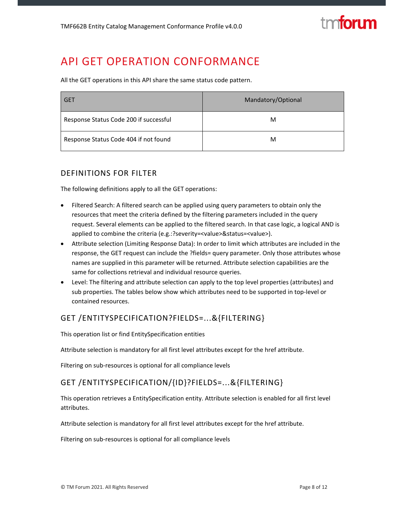

### API GET OPERATION CONFORMANCE

All the GET operations in this API share the same status code pattern.

| <b>GET</b>                             | Mandatory/Optional |  |
|----------------------------------------|--------------------|--|
| Response Status Code 200 if successful | м                  |  |
| Response Status Code 404 if not found  | M                  |  |

#### DEFINITIONS FOR FILTER

The following definitions apply to all the GET operations:

- Filtered Search: A filtered search can be applied using query parameters to obtain only the resources that meet the criteria defined by the filtering parameters included in the query request. Several elements can be applied to the filtered search. In that case logic, a logical AND is applied to combine the criteria (e.g.:?severity=<value>&status=<value>).
- Attribute selection (Limiting Response Data): In order to limit which attributes are included in the response, the GET request can include the ?fields= query parameter. Only those attributes whose names are supplied in this parameter will be returned. Attribute selection capabilities are the same for collections retrieval and individual resource queries.
- Level: The filtering and attribute selection can apply to the top level properties (attributes) and sub properties. The tables below show which attributes need to be supported in top-level or contained resources.

#### GET /ENTITYSPECIFICATION?FIELDS=...&{FILTERING}

This operation list or find EntitySpecification entities

Attribute selection is mandatory for all first level attributes except for the href attribute.

Filtering on sub-resources is optional for all compliance levels

#### GET /ENTITYSPECIFICATION/{ID}?FIELDS=...&{FILTERING}

This operation retrieves a EntitySpecification entity. Attribute selection is enabled for all first level attributes.

Attribute selection is mandatory for all first level attributes except for the href attribute.

Filtering on sub‐resources is optional for all compliance levels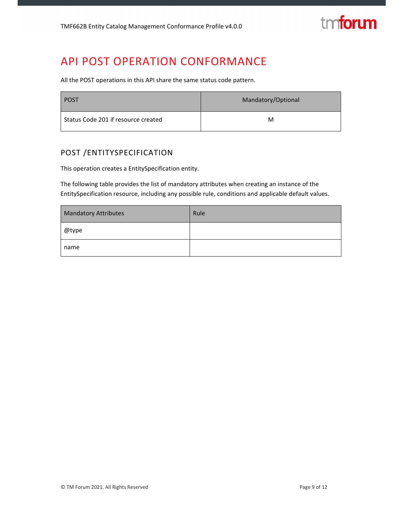

### API POST OPERATION CONFORMANCE

All the POST operations in this API share the same status code pattern.

| <b>POST</b>                         | Mandatory/Optional |
|-------------------------------------|--------------------|
| Status Code 201 if resource created | M                  |

#### POST /ENTITYSPECIFICATION

This operation creates a EntitySpecification entity.

The following table provides the list of mandatory attributes when creating an instance of the EntitySpecification resource, including any possible rule, conditions and applicable default values.

| <b>Mandatory Attributes</b> | Rule |
|-----------------------------|------|
| @type                       |      |
| name                        |      |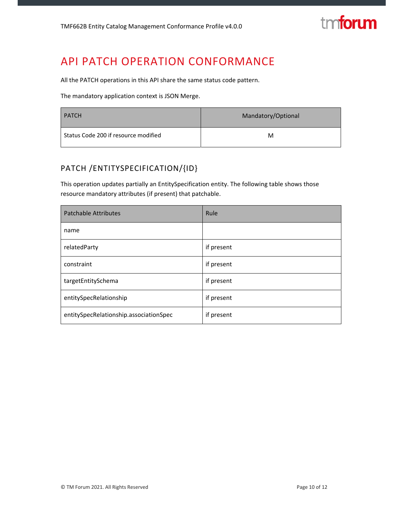

### API PATCH OPERATION CONFORMANCE

All the PATCH operations in this API share the same status code pattern.

The mandatory application context is JSON Merge.

| <b>PATCH</b>                         | Mandatory/Optional |  |
|--------------------------------------|--------------------|--|
| Status Code 200 if resource modified | м                  |  |

#### PATCH /ENTITYSPECIFICATION/{ID}

This operation updates partially an EntitySpecification entity. The following table shows those resource mandatory attributes (if present) that patchable.

| <b>Patchable Attributes</b>            | Rule       |
|----------------------------------------|------------|
| name                                   |            |
| relatedParty                           | if present |
| constraint                             | if present |
| targetEntitySchema                     | if present |
| entitySpecRelationship                 | if present |
| entitySpecRelationship.associationSpec | if present |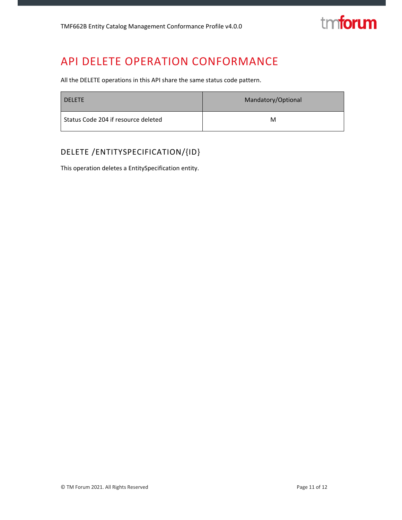

### API DELETE OPERATION CONFORMANCE

All the DELETE operations in this API share the same status code pattern.

| <b>DELETE</b>                       | Mandatory/Optional |
|-------------------------------------|--------------------|
| Status Code 204 if resource deleted | М                  |

#### DELETE /ENTITYSPECIFICATION/{ID}

This operation deletes a EntitySpecification entity.